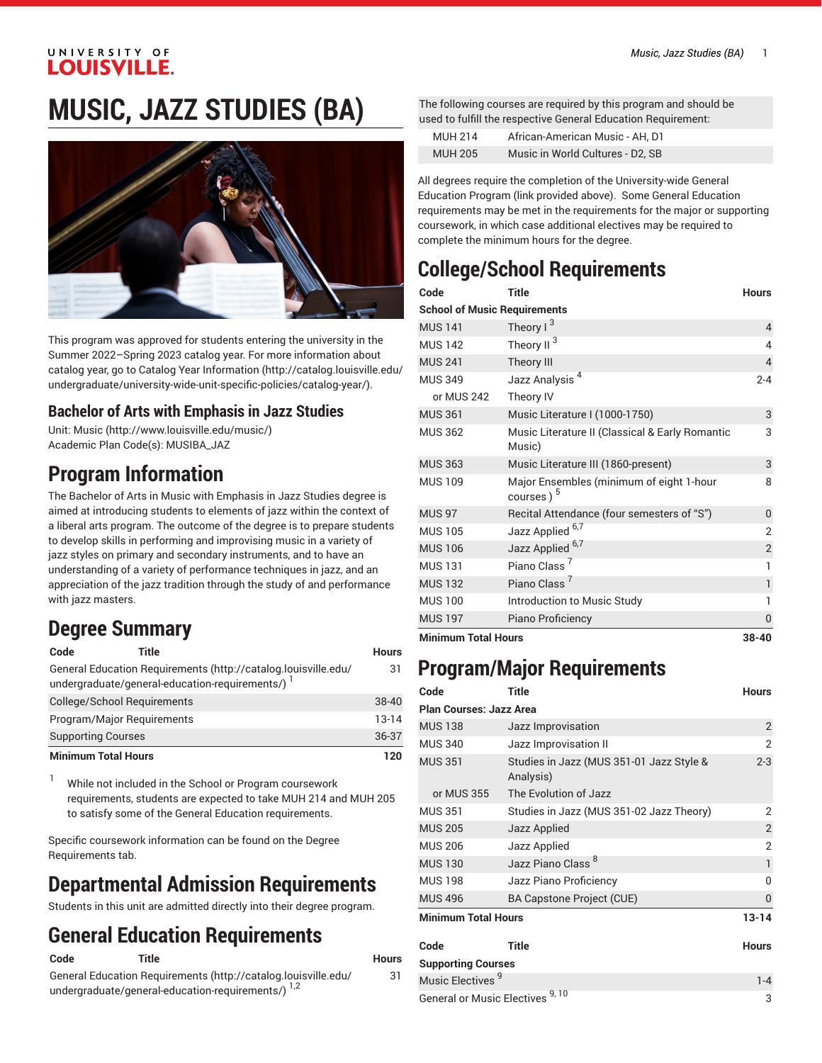#### UNIVERSITY OF **LOUISVILLE.**

# **MUSIC, JAZZ STUDIES (BA)**



This program was approved for students entering the university in the Summer 2022–Spring 2023 catalog year. For more information about catalog year, go to Catalog Year [Information](http://catalog.louisville.edu/undergraduate/university-wide-unit-specific-policies/catalog-year/) ([http://catalog.louisville.edu/](http://catalog.louisville.edu/undergraduate/university-wide-unit-specific-policies/catalog-year/) [undergraduate/university-wide-unit-specific-policies/catalog-year/](http://catalog.louisville.edu/undergraduate/university-wide-unit-specific-policies/catalog-year/)).

### **Bachelor of Arts with Emphasis in Jazz Studies**

Unit: [Music \(http://www.louisville.edu/music/](http://www.louisville.edu/music/)) Academic Plan Code(s): MUSIBA\_JAZ

## **Program Information**

The Bachelor of Arts in Music with Emphasis in Jazz Studies degree is aimed at introducing students to elements of jazz within the context of a liberal arts program. The outcome of the degree is to prepare students to develop skills in performing and improvising music in a variety of jazz styles on primary and secondary instruments, and to have an understanding of a variety of performance techniques in jazz, and an appreciation of the jazz tradition through the study of and performance with jazz masters.

### **Degree Summary**

| Code                               | Title                                                                                                              | Hours     |
|------------------------------------|--------------------------------------------------------------------------------------------------------------------|-----------|
|                                    | General Education Requirements (http://catalog.louisville.edu/<br>undergraduate/general-education-requirements/) 1 | 31        |
| <b>College/School Requirements</b> |                                                                                                                    | $38 - 40$ |
| Program/Major Reguirements         |                                                                                                                    | $13 - 14$ |
| <b>Supporting Courses</b>          |                                                                                                                    | 36-37     |
| <b>Minimum Total Hours</b>         |                                                                                                                    | 120       |

<sup>1</sup> While not included in the School or Program coursework requirements, students are expected to take MUH 214 and MUH 205 to satisfy some of the General Education requirements.

Specific coursework information can be found on the Degree Requirements tab.

## **Departmental Admission Requirements**

Students in this unit are admitted directly into their degree program.

## **General Education Requirements**

**Code Title Hours** General Education [Requirements](http://catalog.louisville.edu/undergraduate/general-education-requirements/) ([http://catalog.louisville.edu/](http://catalog.louisville.edu/undergraduate/general-education-requirements/)

```
undergraduate/general-education-requirements/)<sup>1,2</sup>
```
31

The following courses are required by this program and should be used to fulfill the respective General Education Requirement:

| <b>MUH 214</b> | African-American Music - AH. D1  |
|----------------|----------------------------------|
| <b>MUH 205</b> | Music in World Cultures - D2, SB |

All degrees require the completion of the University-wide General Education Program (link provided above). Some General Education requirements may be met in the requirements for the major or supporting coursework, in which case additional electives may be required to complete the minimum hours for the degree.

# **College/School Requirements**

| Code                                | <b>Title</b>                                                      | <b>Hours</b>   |
|-------------------------------------|-------------------------------------------------------------------|----------------|
| <b>School of Music Requirements</b> |                                                                   |                |
| <b>MUS 141</b>                      | Theory $1^3$                                                      | $\overline{4}$ |
| <b>MUS 142</b>                      | Theory II                                                         | 4              |
| <b>MUS 241</b>                      | Theory III                                                        | $\overline{4}$ |
| <b>MUS 349</b>                      | Jazz Analysis <sup>4</sup>                                        | $2 - 4$        |
| or MUS 242                          | Theory IV                                                         |                |
| <b>MUS 361</b>                      | Music Literature I (1000-1750)                                    | 3              |
| <b>MUS 362</b>                      | Music Literature II (Classical & Early Romantic<br>Music)         | 3              |
| <b>MUS 363</b>                      | Music Literature III (1860-present)                               | 3              |
| <b>MUS 109</b>                      | Major Ensembles (minimum of eight 1-hour<br>courses) <sup>5</sup> | 8              |
| <b>MUS 97</b>                       | Recital Attendance (four semesters of "S")                        | 0              |
| <b>MUS 105</b>                      | Jazz Applied <sup>6,7</sup>                                       | $\overline{2}$ |
| <b>MUS 106</b>                      | Jazz Applied <sup>6,7</sup>                                       | $\overline{2}$ |
| <b>MUS 131</b>                      | Piano Class <sup>'</sup>                                          | 1              |
| <b>MUS 132</b>                      | Piano Class <sup>7</sup>                                          | 1              |
| <b>MUS 100</b>                      | Introduction to Music Study                                       | 1              |
| <b>MUS 197</b>                      | Piano Proficiency                                                 | 0              |
| <b>Minimum Total Hours</b>          |                                                                   | $38 - 40$      |

### **Program/Major Requirements**

| Code                              | Title                                                 | <b>Hours</b>   |
|-----------------------------------|-------------------------------------------------------|----------------|
| <b>Plan Courses: Jazz Area</b>    |                                                       |                |
| <b>MUS 138</b>                    | Jazz Improvisation                                    | $\overline{2}$ |
| <b>MUS 340</b>                    | Jazz Improvisation II                                 | 2              |
| <b>MUS 351</b>                    | Studies in Jazz (MUS 351-01 Jazz Style &<br>Analysis) | $2 - 3$        |
| or MUS 355                        | The Evolution of Jazz                                 |                |
| <b>MUS 351</b>                    | Studies in Jazz (MUS 351-02 Jazz Theory)              | 2              |
| <b>MUS 205</b>                    | Jazz Applied                                          | $\overline{2}$ |
| <b>MUS 206</b>                    | Jazz Applied                                          | 2              |
| <b>MUS 130</b>                    | Jazz Piano Class <sup>8</sup>                         | $\mathbf{1}$   |
| <b>MUS 198</b>                    | Jazz Piano Proficiency                                | 0              |
| <b>MUS 496</b>                    | <b>BA Capstone Project (CUE)</b>                      | 0              |
| <b>Minimum Total Hours</b>        |                                                       | $13 - 14$      |
| Code                              | <b>Title</b>                                          | <b>Hours</b>   |
| <b>Supporting Courses</b>         |                                                       |                |
| Music Electives <sup>9</sup>      |                                                       | $1 - 4$        |
| <b>General or Music Electives</b> | 9, 10                                                 | 3              |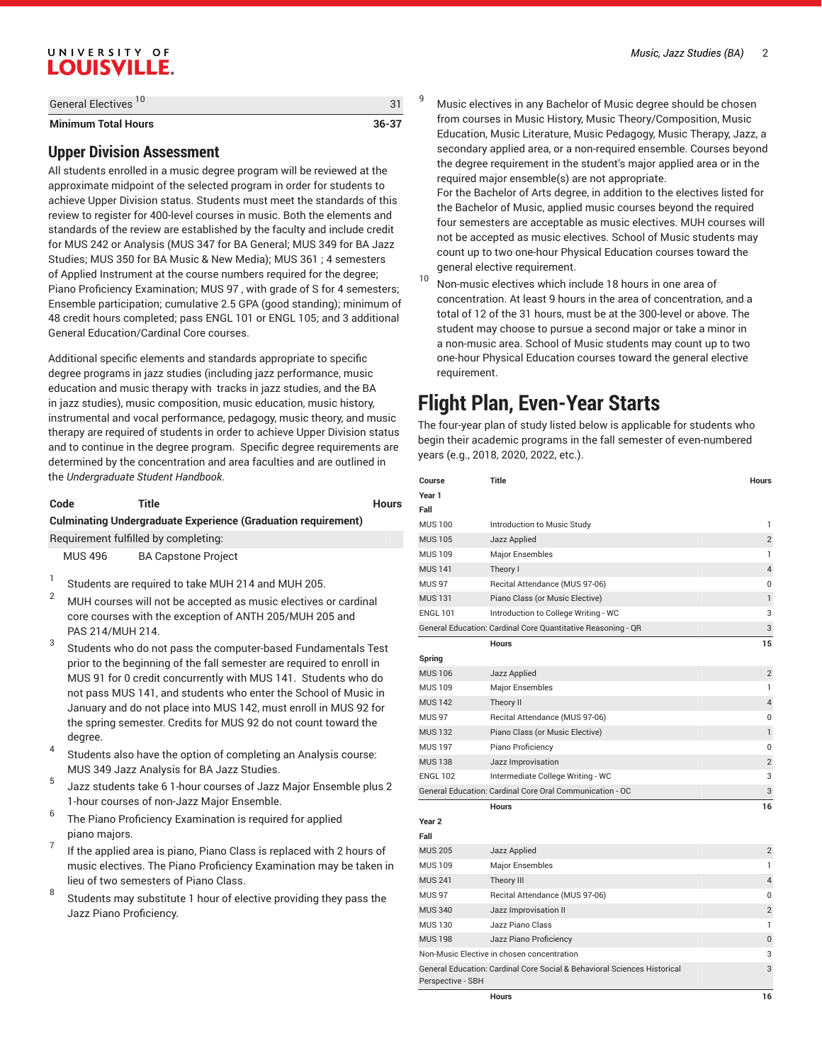### UNIVERSITY OF **LOUISVILLE.**

| <b>Minimum Total Hours</b>      | 36-37 |
|---------------------------------|-------|
| General Electives <sup>10</sup> |       |

#### **Upper Division Assessment**

All students enrolled in a music degree program will be reviewed at the approximate midpoint of the selected program in order for students to achieve Upper Division status. Students must meet the standards of this review to register for 400-level courses in music. Both the elements and standards of the review are established by the faculty and include credit for MUS 242 or Analysis (MUS 347 for BA General; MUS 349 for BA Jazz Studies; MUS 350 for BA Music & New Media); MUS 361 ; 4 semesters of Applied Instrument at the course numbers required for the degree; Piano Proficiency Examination; MUS 97 , with grade of S for 4 semesters; Ensemble participation; cumulative 2.5 GPA (good standing); minimum of 48 credit hours completed; pass ENGL 101 or ENGL 105; and 3 additional General Education/Cardinal Core courses.

Additional specific elements and standards appropriate to specific degree programs in jazz studies (including jazz performance, music education and music therapy with tracks in jazz studies, and the BA in jazz studies), music composition, music education, music history, instrumental and vocal performance, pedagogy, music theory, and music therapy are required of students in order to achieve Upper Division status and to continue in the degree program. Specific degree requirements are determined by the concentration and area faculties and are outlined in the *Undergraduate Student Handbook*.

| Code    | Title                                                                | <b>Hours</b> |
|---------|----------------------------------------------------------------------|--------------|
|         | <b>Culminating Undergraduate Experience (Graduation requirement)</b> |              |
|         | Requirement fulfilled by completing:                                 |              |
| MUS 496 | <b>BA Capstone Project</b>                                           |              |
|         | Students are required to take MUH 214 and MUH 205.                   |              |

- <sup>2</sup> MUH courses will not be accepted as music electives or cardinal core courses with the exception of ANTH 205/MUH 205 and PAS 214/MUH 214.
- 3 Students who do not pass the computer-based Fundamentals Test prior to the beginning of the fall semester are required to enroll in MUS 91 for 0 credit concurrently with MUS 141. Students who do not pass MUS 141, and students who enter the School of Music in January and do not place into MUS 142, must enroll in MUS 92 for the spring semester. Credits for MUS 92 do not count toward the degree.
- 4 Students also have the option of completing an Analysis course: MUS 349 Jazz Analysis for BA Jazz Studies.
- 5 Jazz students take 6 1-hour courses of Jazz Major Ensemble plus 2 1-hour courses of non-Jazz Major Ensemble.
- 6 The Piano Proficiency Examination is required for applied piano majors.
- 7 If the applied area is piano, Piano Class is replaced with 2 hours of music electives. The Piano Proficiency Examination may be taken in lieu of two semesters of Piano Class.
- 8 Students may substitute 1 hour of elective providing they pass the Jazz Piano Proficiency.

<sup>9</sup> Music electives in any Bachelor of Music degree should be chosen from courses in Music History, Music Theory/Composition, Music Education, Music Literature, Music Pedagogy, Music Therapy, Jazz, a secondary applied area, or a non-required ensemble. Courses beyond the degree requirement in the student's major applied area or in the required major ensemble(s) are not appropriate.

For the Bachelor of Arts degree, in addition to the electives listed for the Bachelor of Music, applied music courses beyond the required four semesters are acceptable as music electives. MUH courses will not be accepted as music electives. School of Music students may count up to two one-hour Physical Education courses toward the general elective requirement.

<sup>10</sup> Non-music electives which include <sup>18</sup> hours in one area of concentration. At least 9 hours in the area of concentration, and a total of 12 of the 31 hours, must be at the 300-level or above. The student may choose to pursue a second major or take a minor in a non-music area. School of Music students may count up to two one-hour Physical Education courses toward the general elective requirement.

### **Flight Plan, Even-Year Starts**

The four-year plan of study listed below is applicable for students who begin their academic programs in the fall semester of even-numbered years (e.g., 2018, 2020, 2022, etc.).

| Course            | <b>Title</b>                                                             | <b>Hours</b>   |
|-------------------|--------------------------------------------------------------------------|----------------|
| Year 1            |                                                                          |                |
| Fall              |                                                                          |                |
| <b>MUS 100</b>    | Introduction to Music Study                                              | 1              |
| <b>MUS 105</b>    | Jazz Applied                                                             | $\overline{2}$ |
| <b>MUS 109</b>    | <b>Major Ensembles</b>                                                   | 1              |
| <b>MUS 141</b>    | Theory I                                                                 | $\overline{4}$ |
| <b>MUS 97</b>     | Recital Attendance (MUS 97-06)                                           | 0              |
| <b>MUS 131</b>    | Piano Class (or Music Elective)                                          | $\mathbf{1}$   |
| <b>ENGL 101</b>   | Introduction to College Writing - WC                                     | 3              |
|                   | General Education: Cardinal Core Quantitative Reasoning - QR             | 3              |
|                   | <b>Hours</b>                                                             | 15             |
| Spring            |                                                                          |                |
| <b>MUS 106</b>    | Jazz Applied                                                             | $\overline{2}$ |
| <b>MUS 109</b>    | <b>Major Ensembles</b>                                                   | 1              |
| <b>MUS 142</b>    | Theory II                                                                | $\overline{4}$ |
| <b>MUS 97</b>     | Recital Attendance (MUS 97-06)                                           | 0              |
| <b>MUS 132</b>    | Piano Class (or Music Elective)                                          | $\mathbf{1}$   |
| <b>MUS 197</b>    | Piano Proficiency                                                        | 0              |
| <b>MUS 138</b>    | Jazz Improvisation                                                       | $\overline{2}$ |
| <b>ENGL 102</b>   | Intermediate College Writing - WC                                        | 3              |
|                   | General Education: Cardinal Core Oral Communication - OC                 | 3              |
|                   | Hours                                                                    | 16             |
| Year <sub>2</sub> |                                                                          |                |
| Fall              |                                                                          |                |
| <b>MUS 205</b>    | Jazz Applied                                                             | 2              |
| <b>MUS109</b>     | <b>Major Ensembles</b>                                                   | 1              |
| <b>MUS 241</b>    | Theory III                                                               | $\overline{4}$ |
| <b>MUS 97</b>     | Recital Attendance (MUS 97-06)                                           | 0              |
| <b>MUS 340</b>    | Jazz Improvisation II                                                    | $\overline{2}$ |
| <b>MUS 130</b>    | Jazz Piano Class                                                         | 1              |
| <b>MUS 198</b>    | Jazz Piano Proficiency                                                   | $\bf{0}$       |
|                   | Non-Music Elective in chosen concentration                               | 3              |
|                   | General Education: Cardinal Core Social & Behavioral Sciences Historical | 3              |
| Perspective - SBH |                                                                          |                |
|                   | <b>Hours</b>                                                             | 16             |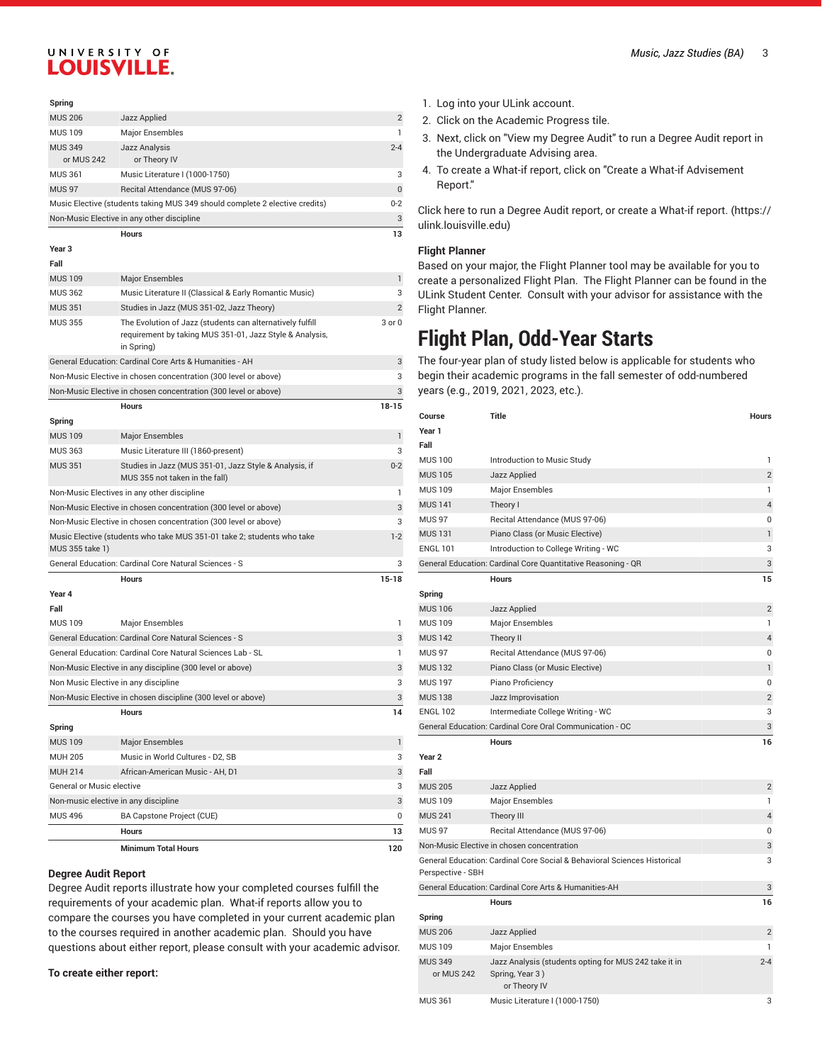### UNIVERSITY OF **LOUISVILLE.**

| Spring            |                                                                                                                                     |                |
|-------------------|-------------------------------------------------------------------------------------------------------------------------------------|----------------|
| <b>MUS 206</b>    | Jazz Applied                                                                                                                        | $\overline{2}$ |
| <b>MUS 109</b>    | <b>Major Ensembles</b>                                                                                                              | $\mathbf{1}$   |
| <b>MUS 349</b>    | <b>Jazz Analysis</b>                                                                                                                | $2 - 4$        |
| or MUS 242        | or Theory IV                                                                                                                        |                |
| <b>MUS 361</b>    | Music Literature I (1000-1750)                                                                                                      | 3              |
| <b>MUS 97</b>     | Recital Attendance (MUS 97-06)                                                                                                      | 0              |
|                   | Music Elective (students taking MUS 349 should complete 2 elective credits)                                                         | $0 - 2$        |
|                   | Non-Music Elective in any other discipline                                                                                          | 3              |
|                   | <b>Hours</b>                                                                                                                        | 13             |
| Year <sub>3</sub> |                                                                                                                                     |                |
| Fall              |                                                                                                                                     |                |
| <b>MUS 109</b>    | <b>Major Ensembles</b>                                                                                                              | 1              |
| <b>MUS 362</b>    | Music Literature II (Classical & Early Romantic Music)                                                                              | 3              |
| <b>MUS 351</b>    | Studies in Jazz (MUS 351-02, Jazz Theory)                                                                                           | $\overline{2}$ |
| <b>MUS 355</b>    | The Evolution of Jazz (students can alternatively fulfill<br>requirement by taking MUS 351-01, Jazz Style & Analysis,<br>in Spring) | 3 or 0         |
|                   | General Education: Cardinal Core Arts & Humanities - AH                                                                             | 3              |
|                   | Non-Music Elective in chosen concentration (300 level or above)                                                                     | 3              |
|                   | Non-Music Elective in chosen concentration (300 level or above)                                                                     | 3              |
|                   | <b>Hours</b>                                                                                                                        | $18 - 15$      |
| Spring            |                                                                                                                                     |                |
| <b>MUS 109</b>    | <b>Major Ensembles</b>                                                                                                              |                |
|                   |                                                                                                                                     | $\mathbf{1}$   |
| <b>MUS 363</b>    | Music Literature III (1860-present)                                                                                                 | 3              |
| <b>MUS 351</b>    | Studies in Jazz (MUS 351-01, Jazz Style & Analysis, if<br>MUS 355 not taken in the fall)                                            | $0 - 2$        |
|                   | Non-Music Electives in any other discipline                                                                                         | $\mathbf{1}$   |
|                   | Non-Music Elective in chosen concentration (300 level or above)                                                                     | 3              |
|                   | Non-Music Elective in chosen concentration (300 level or above)                                                                     | 3              |
| MUS 355 take 1)   | Music Elective (students who take MUS 351-01 take 2; students who take                                                              | $1-2$          |
|                   | General Education: Cardinal Core Natural Sciences - S                                                                               | 3              |
|                   | <b>Hours</b>                                                                                                                        | $15 - 18$      |
| Year 4            |                                                                                                                                     |                |
| Fall              |                                                                                                                                     |                |
| <b>MUS 109</b>    | Major Ensembles                                                                                                                     | 1              |
|                   | General Education: Cardinal Core Natural Sciences - S                                                                               | 3              |
|                   | General Education: Cardinal Core Natural Sciences Lab - SL                                                                          | 1              |
|                   | Non-Music Elective in any discipline (300 level or above)                                                                           | 3              |

|                                      | <b>Minimum Total Hours</b>                                   | 120      |
|--------------------------------------|--------------------------------------------------------------|----------|
|                                      | <b>Hours</b>                                                 | 13       |
| <b>MUS 496</b>                       | <b>BA Capstone Project (CUE)</b>                             | $\Omega$ |
| Non-music elective in any discipline |                                                              | 3        |
| General or Music elective            |                                                              | 3        |
| <b>MUH 214</b>                       | African-American Music - AH, D1                              | 3        |
| <b>MUH 205</b>                       | Music in World Cultures - D2, SB                             | 3        |
| <b>MUS 109</b>                       | <b>Major Ensembles</b>                                       | 1        |
| Spring                               |                                                              |          |
|                                      | <b>Hours</b>                                                 | 14       |
|                                      | Non-Music Elective in chosen discipline (300 level or above) | 3        |
| Non Music Elective in any discipline |                                                              | 3        |
|                                      |                                                              |          |

#### **Degree Audit Report**

Degree Audit reports illustrate how your completed courses fulfill the requirements of your academic plan. What-if reports allow you to compare the courses you have completed in your current academic plan to the courses required in another academic plan. Should you have questions about either report, please consult with your academic advisor.

#### **To create either report:**

- *Music, Jazz Studies (BA)* 3
- 1. Log into your ULink account.
- 2. Click on the Academic Progress tile.
- 3. Next, click on "View my Degree Audit" to run a Degree Audit report in the Undergraduate Advising area.
- 4. To create a What-if report, click on "Create a What-if Advisement Report."

Click here to run a Degree Audit report, or create a [What-if](https://ulink.louisville.edu) report. [\(https://](https://ulink.louisville.edu) [ulink.louisville.edu\)](https://ulink.louisville.edu)

#### **Flight Planner**

Based on your major, the Flight Planner tool may be available for you to create a personalized Flight Plan. The Flight Planner can be found in the ULink Student Center. Consult with your advisor for assistance with the Flight Planner.

### **Flight Plan, Odd-Year Starts**

The four-year plan of study listed below is applicable for students who begin their academic programs in the fall semester of odd-numbered years (e.g., 2019, 2021, 2023, etc.).

| Course                       | <b>Title</b>                                                                             | <b>Hours</b>   |
|------------------------------|------------------------------------------------------------------------------------------|----------------|
| Year 1                       |                                                                                          |                |
| Fall                         |                                                                                          |                |
| <b>MUS 100</b>               | Introduction to Music Study                                                              | $\mathbf{1}$   |
| <b>MUS105</b>                | Jazz Applied                                                                             | $\overline{2}$ |
| <b>MUS 109</b>               | Major Ensembles                                                                          | 1              |
| <b>MUS 141</b>               | Theory I                                                                                 | $\overline{4}$ |
| <b>MUS 97</b>                | Recital Attendance (MUS 97-06)                                                           | 0              |
| <b>MUS 131</b>               | Piano Class (or Music Elective)                                                          | 1              |
| <b>ENGL 101</b>              | Introduction to College Writing - WC                                                     | 3              |
|                              | General Education: Cardinal Core Quantitative Reasoning - QR                             | 3              |
|                              | <b>Hours</b>                                                                             | 15             |
| Spring                       |                                                                                          |                |
| <b>MUS 106</b>               | Jazz Applied                                                                             | $\overline{2}$ |
| <b>MUS109</b>                | Major Ensembles                                                                          | 1              |
| <b>MUS 142</b>               | Theory II                                                                                | $\overline{4}$ |
| <b>MUS 97</b>                | Recital Attendance (MUS 97-06)                                                           | 0              |
| <b>MUS 132</b>               | Piano Class (or Music Elective)                                                          | 1              |
| <b>MUS 197</b>               | Piano Proficiency                                                                        | $\mathbf 0$    |
| <b>MUS 138</b>               | Jazz Improvisation                                                                       | $\overline{2}$ |
| <b>ENGL 102</b>              | Intermediate College Writing - WC                                                        | 3              |
|                              | General Education: Cardinal Core Oral Communication - OC                                 | 3              |
|                              | <b>Hours</b>                                                                             | 16             |
| Year <sub>2</sub>            |                                                                                          |                |
| Fall                         |                                                                                          |                |
| <b>MUS 205</b>               | Jazz Applied                                                                             | $\overline{2}$ |
| <b>MUS 109</b>               | Major Ensembles                                                                          | 1              |
| <b>MUS 241</b>               | Theory III                                                                               | $\overline{4}$ |
| <b>MUS 97</b>                | Recital Attendance (MUS 97-06)                                                           | $\overline{0}$ |
|                              | Non-Music Elective in chosen concentration                                               | 3              |
| Perspective - SBH            | General Education: Cardinal Core Social & Behavioral Sciences Historical                 | 3              |
|                              | General Education: Cardinal Core Arts & Humanities-AH                                    | 3              |
|                              | <b>Hours</b>                                                                             | 16             |
| Spring                       |                                                                                          |                |
| <b>MUS 206</b>               | Jazz Applied                                                                             | $\overline{2}$ |
| <b>MUS 109</b>               | Major Ensembles                                                                          | 1              |
| <b>MUS 349</b><br>or MUS 242 | Jazz Analysis (students opting for MUS 242 take it in<br>Spring, Year 3)<br>or Theory IV | $2 - 4$        |
| <b>MUS 361</b>               | Music Literature I (1000-1750)                                                           | 3              |